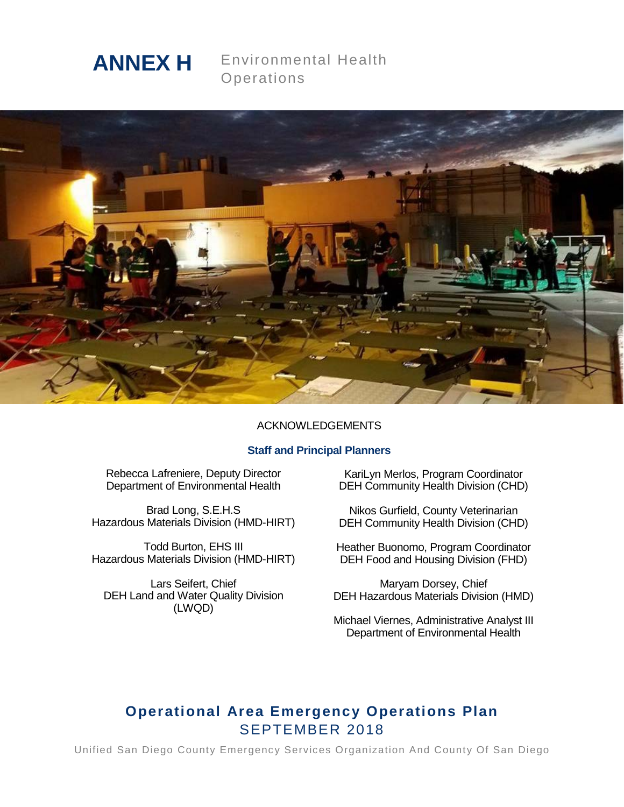

Environmental Health **Operations** 



### ACKNOWLEDGEMENTS

### **Staff and Principal Planners**

Rebecca Lafreniere, Deputy Director Department of Environmental Health

Brad Long, S.E.H.S Hazardous Materials Division (HMD-HIRT)

Todd Burton, EHS III Hazardous Materials Division (HMD-HIRT)

Lars Seifert, Chief DEH Land and Water Quality Division (LWQD)

KariLyn Merlos, Program Coordinator DEH Community Health Division (CHD)

Nikos Gurfield, County Veterinarian DEH Community Health Division (CHD)

Heather Buonomo, Program Coordinator DEH Food and Housing Division (FHD)

Maryam Dorsey, Chief DEH Hazardous Materials Division (HMD)

Michael Viernes, Administrative Analyst III Department of Environmental Health

# **Operational Area Emergency Operations Plan** SEPTEMBER 2018

Unified San Diego County Emergency Services Organization And County Of San Diego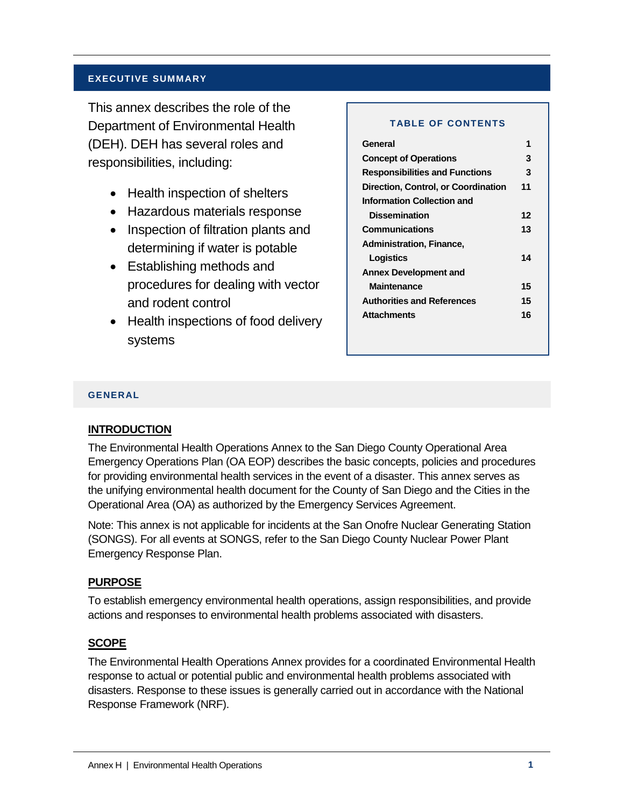## **EXECUTIVE SUMMARY**

This annex describes the role of the Department of Environmental Health (DEH). DEH has several roles and responsibilities, including:

- Health inspection of shelters
- Hazardous materials response
- Inspection of filtration plants and determining if water is potable
- Establishing methods and procedures for dealing with vector and rodent control
- Health inspections of food delivery systems

#### **TABLE OF CONTENTS**

| General                               |    |
|---------------------------------------|----|
| <b>Concept of Operations</b>          | 3  |
| <b>Responsibilities and Functions</b> | 3  |
| Direction, Control, or Coordination   | 11 |
| Information Collection and            |    |
| <b>Dissemination</b>                  | 12 |
| <b>Communications</b>                 | 13 |
| Administration, Finance,              |    |
| Logistics                             | 14 |
| <b>Annex Development and</b>          |    |
| Maintenance                           | 15 |
| <b>Authorities and References</b>     | 15 |
| <b>Attachments</b>                    | 16 |
|                                       |    |

#### **GENERAL**

## **INTRODUCTION**

The Environmental Health Operations Annex to the San Diego County Operational Area Emergency Operations Plan (OA EOP) describes the basic concepts, policies and procedures for providing environmental health services in the event of a disaster. This annex serves as the unifying environmental health document for the County of San Diego and the Cities in the Operational Area (OA) as authorized by the Emergency Services Agreement.

Note: This annex is not applicable for incidents at the San Onofre Nuclear Generating Station (SONGS). For all events at SONGS, refer to the San Diego County Nuclear Power Plant Emergency Response Plan.

## **PURPOSE**

To establish emergency environmental health operations, assign responsibilities, and provide actions and responses to environmental health problems associated with disasters.

### **SCOPE**

The Environmental Health Operations Annex provides for a coordinated Environmental Health response to actual or potential public and environmental health problems associated with disasters. Response to these issues is generally carried out in accordance with the National Response Framework (NRF).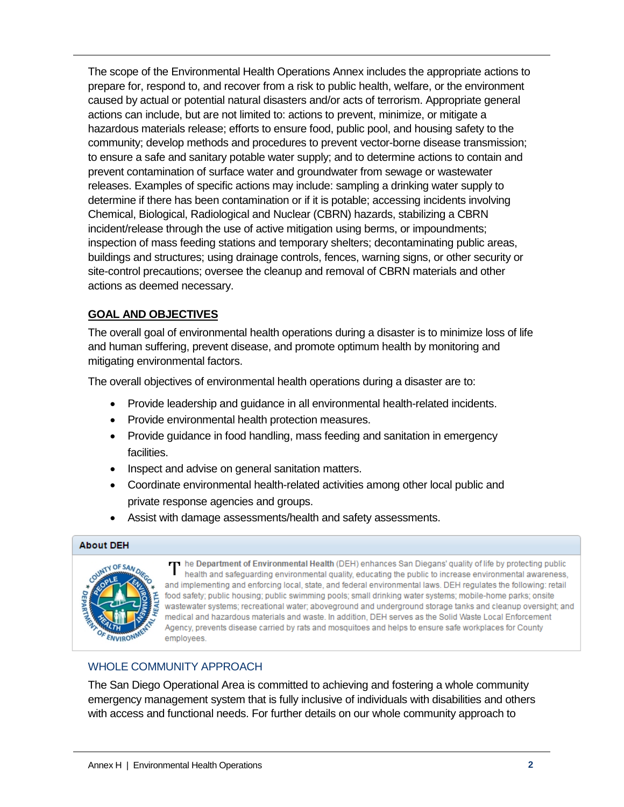The scope of the Environmental Health Operations Annex includes the appropriate actions to prepare for, respond to, and recover from a risk to public health, welfare, or the environment caused by actual or potential natural disasters and/or acts of terrorism. Appropriate general actions can include, but are not limited to: actions to prevent, minimize, or mitigate a hazardous materials release; efforts to ensure food, public pool, and housing safety to the community; develop methods and procedures to prevent vector-borne disease transmission; to ensure a safe and sanitary potable water supply; and to determine actions to contain and prevent contamination of surface water and groundwater from sewage or wastewater releases. Examples of specific actions may include: sampling a drinking water supply to determine if there has been contamination or if it is potable; accessing incidents involving Chemical, Biological, Radiological and Nuclear (CBRN) hazards, stabilizing a CBRN incident/release through the use of active mitigation using berms, or impoundments; inspection of mass feeding stations and temporary shelters; decontaminating public areas, buildings and structures; using drainage controls, fences, warning signs, or other security or site-control precautions; oversee the cleanup and removal of CBRN materials and other actions as deemed necessary.

# **GOAL AND OBJECTIVES**

The overall goal of environmental health operations during a disaster is to minimize loss of life and human suffering, prevent disease, and promote optimum health by monitoring and mitigating environmental factors.

The overall objectives of environmental health operations during a disaster are to:

- Provide leadership and guidance in all environmental health-related incidents.
- Provide environmental health protection measures.
- Provide guidance in food handling, mass feeding and sanitation in emergency facilities.
- Inspect and advise on general sanitation matters.
- Coordinate environmental health-related activities among other local public and private response agencies and groups.
- Assist with damage assessments/health and safety assessments.

### **About DEH**



T he Department of Environmental Health (DEH) enhances San Diegans' quality of life by protecting public<br>bealth and safeguarding environmental quality educating the public to increase environmental awareness. health and safeguarding environmental quality, educating the public to increase environmental awareness, and implementing and enforcing local, state, and federal environmental laws. DEH regulates the following: retail food safety; public housing; public swimming pools; small drinking water systems; mobile-home parks; onsite wastewater systems; recreational water; aboveground and underground storage tanks and cleanup oversight; and medical and hazardous materials and waste. In addition, DEH serves as the Solid Waste Local Enforcement Agency, prevents disease carried by rats and mosquitoes and helps to ensure safe workplaces for County employees.

# WHOLE COMMUNITY APPROACH

The San Diego Operational Area is committed to achieving and fostering a whole community emergency management system that is fully inclusive of individuals with disabilities and others with access and functional needs. For further details on our whole community approach to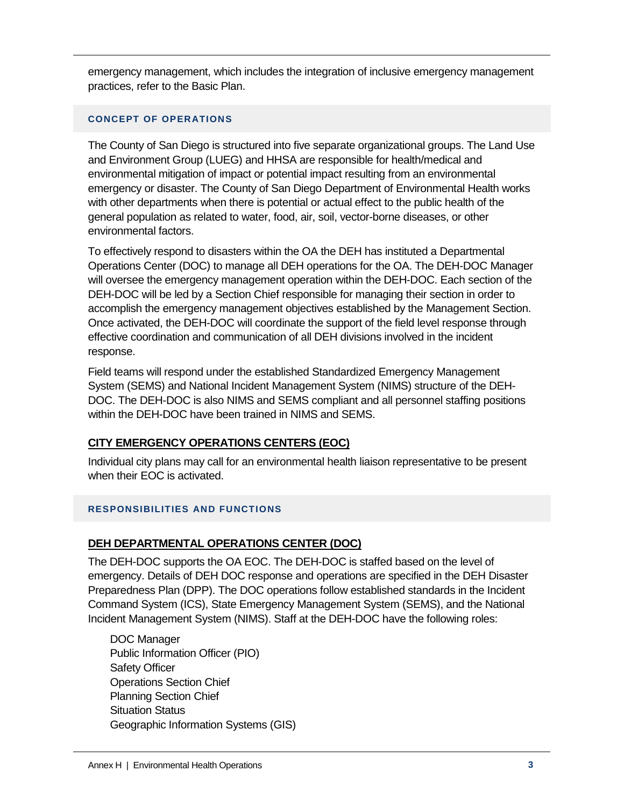emergency management, which includes the integration of inclusive emergency management practices, refer to the Basic Plan.

## **CONCEPT OF OPERATIONS**

The County of San Diego is structured into five separate organizational groups. The Land Use and Environment Group (LUEG) and HHSA are responsible for health/medical and environmental mitigation of impact or potential impact resulting from an environmental emergency or disaster. The County of San Diego Department of Environmental Health works with other departments when there is potential or actual effect to the public health of the general population as related to water, food, air, soil, vector-borne diseases, or other environmental factors.

To effectively respond to disasters within the OA the DEH has instituted a Departmental Operations Center (DOC) to manage all DEH operations for the OA. The DEH-DOC Manager will oversee the emergency management operation within the DEH-DOC. Each section of the DEH-DOC will be led by a Section Chief responsible for managing their section in order to accomplish the emergency management objectives established by the Management Section. Once activated, the DEH-DOC will coordinate the support of the field level response through effective coordination and communication of all DEH divisions involved in the incident response.

Field teams will respond under the established Standardized Emergency Management System (SEMS) and National Incident Management System (NIMS) structure of the DEH-DOC. The DEH-DOC is also NIMS and SEMS compliant and all personnel staffing positions within the DEH-DOC have been trained in NIMS and SEMS.

# **CITY EMERGENCY OPERATIONS CENTERS (EOC)**

Individual city plans may call for an environmental health liaison representative to be present when their EOC is activated.

## **RESPONSIBILITIES AND FUNCTIONS**

# **DEH DEPARTMENTAL OPERATIONS CENTER (DOC)**

The DEH-DOC supports the OA EOC. The DEH-DOC is staffed based on the level of emergency. Details of DEH DOC response and operations are specified in the DEH Disaster Preparedness Plan (DPP). The DOC operations follow established standards in the Incident Command System (ICS), State Emergency Management System (SEMS), and the National Incident Management System (NIMS). Staff at the DEH-DOC have the following roles:

DOC Manager Public Information Officer (PIO) Safety Officer Operations Section Chief Planning Section Chief Situation Status Geographic Information Systems (GIS)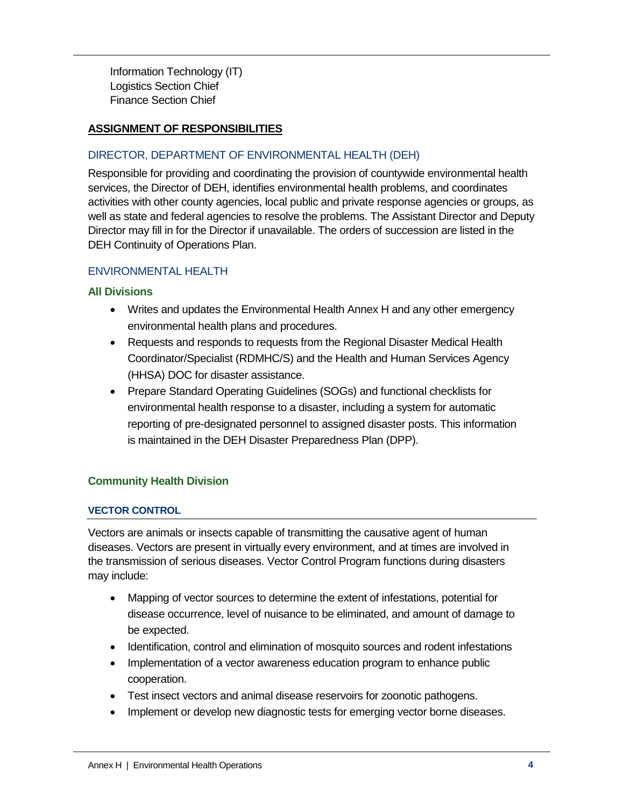Information Technology (IT) Logistics Section Chief Finance Section Chief

## **ASSIGNMENT OF RESPONSIBILITIES**

## DIRECTOR, DEPARTMENT OF ENVIRONMENTAL HEALTH (DEH)

Responsible for providing and coordinating the provision of countywide environmental health services, the Director of DEH, identifies environmental health problems, and coordinates activities with other county agencies, local public and private response agencies or groups, as well as state and federal agencies to resolve the problems. The Assistant Director and Deputy Director may fill in for the Director if unavailable. The orders of succession are listed in the DEH Continuity of Operations Plan.

## ENVIRONMENTAL HEALTH

### **All Divisions**

- Writes and updates the Environmental Health Annex H and any other emergency environmental health plans and procedures.
- Requests and responds to requests from the Regional Disaster Medical Health Coordinator/Specialist (RDMHC/S) and the Health and Human Services Agency (HHSA) DOC for disaster assistance.
- Prepare Standard Operating Guidelines (SOGs) and functional checklists for environmental health response to a disaster, including a system for automatic reporting of pre-designated personnel to assigned disaster posts. This information is maintained in the DEH Disaster Preparedness Plan (DPP).

## **Community Health Division**

### **VECTOR CONTROL**

Vectors are animals or insects capable of transmitting the causative agent of human diseases. Vectors are present in virtually every environment, and at times are involved in the transmission of serious diseases. Vector Control Program functions during disasters may include:

- Mapping of vector sources to determine the extent of infestations, potential for disease occurrence, level of nuisance to be eliminated, and amount of damage to be expected.
- Identification, control and elimination of mosquito sources and rodent infestations
- Implementation of a vector awareness education program to enhance public cooperation.
- Test insect vectors and animal disease reservoirs for zoonotic pathogens.
- Implement or develop new diagnostic tests for emerging vector borne diseases.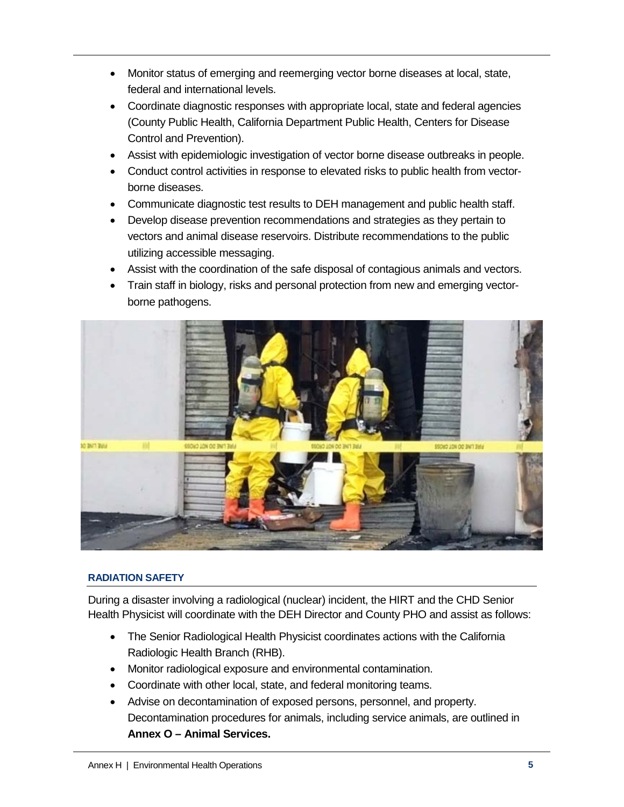- Monitor status of emerging and reemerging vector borne diseases at local, state, federal and international levels.
- Coordinate diagnostic responses with appropriate local, state and federal agencies (County Public Health, California Department Public Health, Centers for Disease Control and Prevention).
- Assist with epidemiologic investigation of vector borne disease outbreaks in people.
- Conduct control activities in response to elevated risks to public health from vectorborne diseases.
- Communicate diagnostic test results to DEH management and public health staff.
- Develop disease prevention recommendations and strategies as they pertain to vectors and animal disease reservoirs. Distribute recommendations to the public utilizing accessible messaging.
- Assist with the coordination of the safe disposal of contagious animals and vectors.
- Train staff in biology, risks and personal protection from new and emerging vectorborne pathogens.



# **RADIATION SAFETY**

During a disaster involving a radiological (nuclear) incident, the HIRT and the CHD Senior Health Physicist will coordinate with the DEH Director and County PHO and assist as follows:

- The Senior Radiological Health Physicist coordinates actions with the California Radiologic Health Branch (RHB).
- Monitor radiological exposure and environmental contamination.
- Coordinate with other local, state, and federal monitoring teams.
- Advise on decontamination of exposed persons, personnel, and property. Decontamination procedures for animals, including service animals, are outlined in **Annex O – Animal Services.**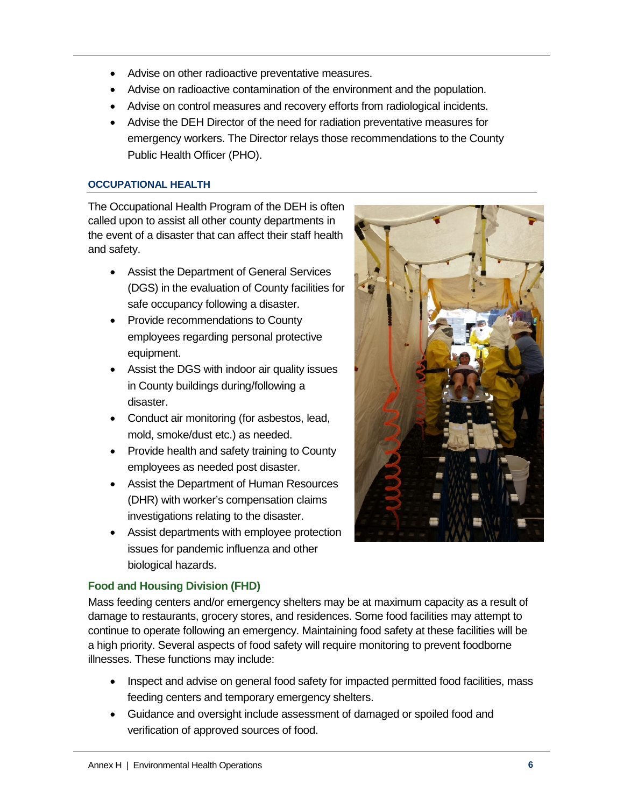- Advise on other radioactive preventative measures.
- Advise on radioactive contamination of the environment and the population.
- Advise on control measures and recovery efforts from radiological incidents.
- Advise the DEH Director of the need for radiation preventative measures for emergency workers. The Director relays those recommendations to the County Public Health Officer (PHO).

## **OCCUPATIONAL HEALTH**

The Occupational Health Program of the DEH is often called upon to assist all other county departments in the event of a disaster that can affect their staff health and safety.

- Assist the Department of General Services (DGS) in the evaluation of County facilities for safe occupancy following a disaster.
- Provide recommendations to County employees regarding personal protective equipment.
- Assist the DGS with indoor air quality issues in County buildings during/following a disaster.
- Conduct air monitoring (for asbestos, lead, mold, smoke/dust etc.) as needed.
- Provide health and safety training to County employees as needed post disaster.
- Assist the Department of Human Resources (DHR) with worker's compensation claims investigations relating to the disaster.
- Assist departments with employee protection issues for pandemic influenza and other biological hazards.



# **Food and Housing Division (FHD)**

Mass feeding centers and/or emergency shelters may be at maximum capacity as a result of damage to restaurants, grocery stores, and residences. Some food facilities may attempt to continue to operate following an emergency. Maintaining food safety at these facilities will be a high priority. Several aspects of food safety will require monitoring to prevent foodborne illnesses. These functions may include:

- Inspect and advise on general food safety for impacted permitted food facilities, mass feeding centers and temporary emergency shelters.
- Guidance and oversight include assessment of damaged or spoiled food and verification of approved sources of food.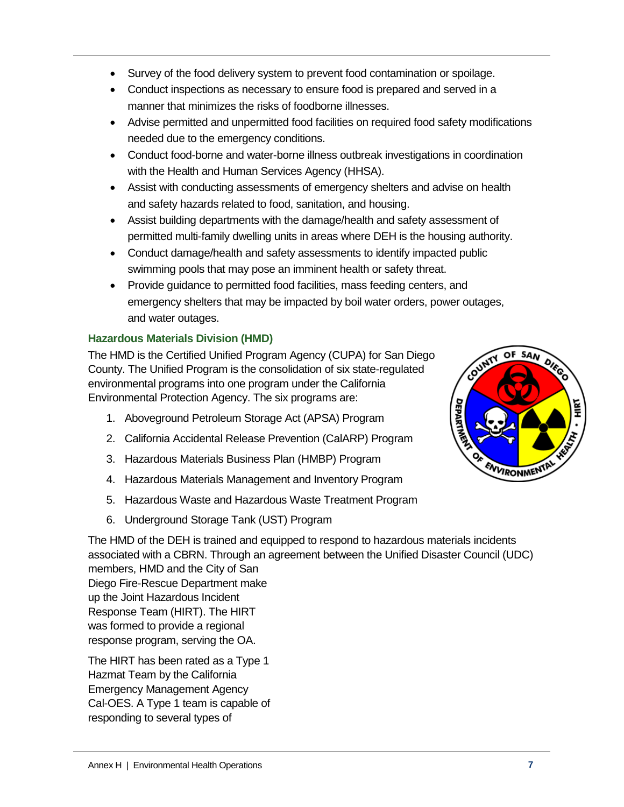- Survey of the food delivery system to prevent food contamination or spoilage.
- Conduct inspections as necessary to ensure food is prepared and served in a manner that minimizes the risks of foodborne illnesses.
- Advise permitted and unpermitted food facilities on required food safety modifications needed due to the emergency conditions.
- Conduct food-borne and water-borne illness outbreak investigations in coordination with the Health and Human Services Agency (HHSA).
- Assist with conducting assessments of emergency shelters and advise on health and safety hazards related to food, sanitation, and housing.
- Assist building departments with the damage/health and safety assessment of permitted multi-family dwelling units in areas where DEH is the housing authority.
- Conduct damage/health and safety assessments to identify impacted public swimming pools that may pose an imminent health or safety threat.
- Provide guidance to permitted food facilities, mass feeding centers, and emergency shelters that may be impacted by boil water orders, power outages, and water outages.

# **Hazardous Materials Division (HMD)**

The HMD is the Certified Unified Program Agency (CUPA) for San Diego County. The Unified Program is the consolidation of six state-regulated environmental programs into one program under the California Environmental Protection Agency. The six programs are:

- 1. Aboveground Petroleum Storage Act (APSA) Program
- 2. California Accidental Release Prevention (CalARP) Program
- 3. Hazardous Materials Business Plan (HMBP) Program
- 4. Hazardous Materials Management and Inventory Program
- 5. Hazardous Waste and Hazardous Waste Treatment Program
- 6. Underground Storage Tank (UST) Program

The HMD of the DEH is trained and equipped to respond to hazardous materials incidents associated with a CBRN. Through an agreement between the Unified Disaster Council (UDC) members, HMD and the City of San Diego Fire-Rescue Department make up the Joint Hazardous Incident Response Team (HIRT). The HIRT was formed to provide a regional response program, serving the OA.

The HIRT has been rated as a Type 1 Hazmat Team by the California Emergency Management Agency Cal-OES. A Type 1 team is capable of responding to several types of

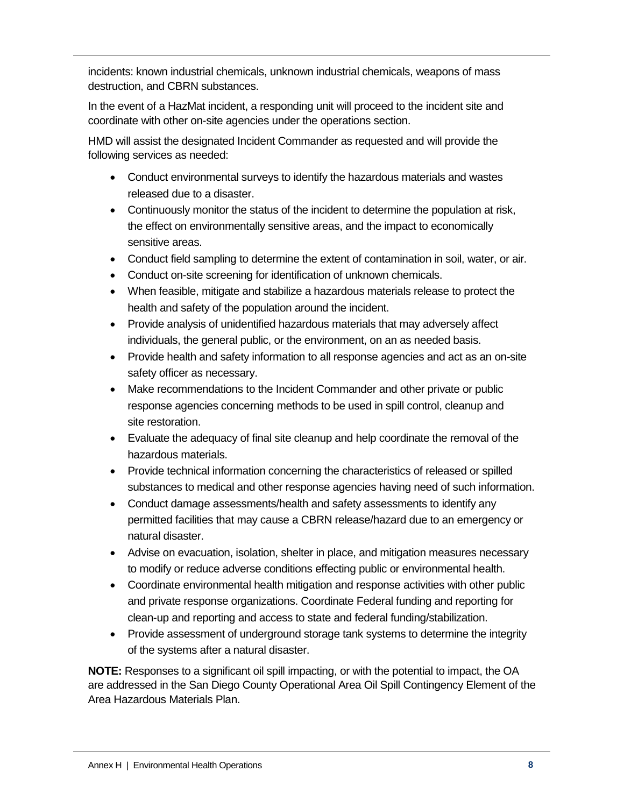incidents: known industrial chemicals, unknown industrial chemicals, weapons of mass destruction, and CBRN substances.

In the event of a HazMat incident, a responding unit will proceed to the incident site and coordinate with other on-site agencies under the operations section.

HMD will assist the designated Incident Commander as requested and will provide the following services as needed:

- Conduct environmental surveys to identify the hazardous materials and wastes released due to a disaster.
- Continuously monitor the status of the incident to determine the population at risk, the effect on environmentally sensitive areas, and the impact to economically sensitive areas.
- Conduct field sampling to determine the extent of contamination in soil, water, or air.
- Conduct on-site screening for identification of unknown chemicals.
- When feasible, mitigate and stabilize a hazardous materials release to protect the health and safety of the population around the incident.
- Provide analysis of unidentified hazardous materials that may adversely affect individuals, the general public, or the environment, on an as needed basis.
- Provide health and safety information to all response agencies and act as an on-site safety officer as necessary.
- Make recommendations to the Incident Commander and other private or public response agencies concerning methods to be used in spill control, cleanup and site restoration.
- Evaluate the adequacy of final site cleanup and help coordinate the removal of the hazardous materials.
- Provide technical information concerning the characteristics of released or spilled substances to medical and other response agencies having need of such information.
- Conduct damage assessments/health and safety assessments to identify any permitted facilities that may cause a CBRN release/hazard due to an emergency or natural disaster.
- Advise on evacuation, isolation, shelter in place, and mitigation measures necessary to modify or reduce adverse conditions effecting public or environmental health.
- Coordinate environmental health mitigation and response activities with other public and private response organizations. Coordinate Federal funding and reporting for clean-up and reporting and access to state and federal funding/stabilization.
- Provide assessment of underground storage tank systems to determine the integrity of the systems after a natural disaster.

**NOTE:** Responses to a significant oil spill impacting, or with the potential to impact, the OA are addressed in the San Diego County Operational Area Oil Spill Contingency Element of the Area Hazardous Materials Plan.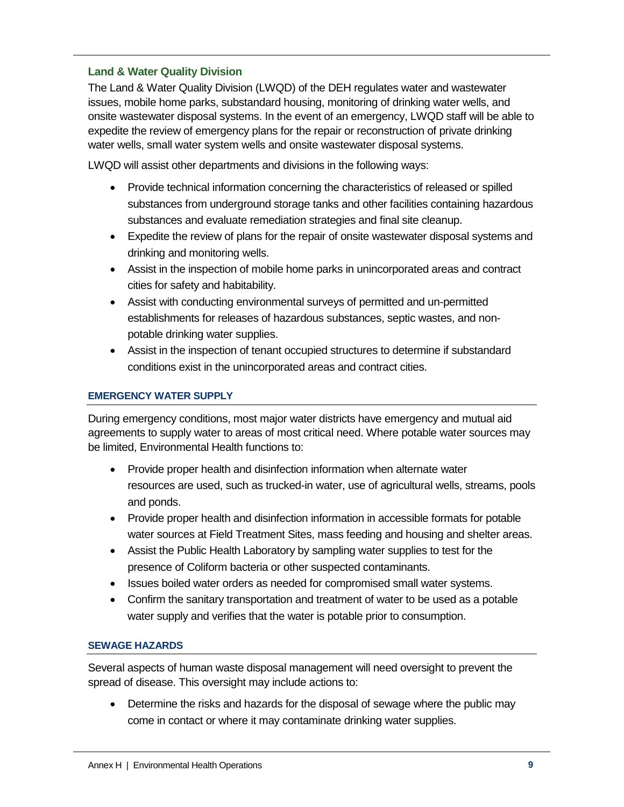## **Land & Water Quality Division**

The Land & Water Quality Division (LWQD) of the DEH regulates water and wastewater issues, mobile home parks, substandard housing, monitoring of drinking water wells, and onsite wastewater disposal systems. In the event of an emergency, LWQD staff will be able to expedite the review of emergency plans for the repair or reconstruction of private drinking water wells, small water system wells and onsite wastewater disposal systems.

LWQD will assist other departments and divisions in the following ways:

- Provide technical information concerning the characteristics of released or spilled substances from underground storage tanks and other facilities containing hazardous substances and evaluate remediation strategies and final site cleanup.
- Expedite the review of plans for the repair of onsite wastewater disposal systems and drinking and monitoring wells.
- Assist in the inspection of mobile home parks in unincorporated areas and contract cities for safety and habitability.
- Assist with conducting environmental surveys of permitted and un-permitted establishments for releases of hazardous substances, septic wastes, and nonpotable drinking water supplies.
- Assist in the inspection of tenant occupied structures to determine if substandard conditions exist in the unincorporated areas and contract cities.

## **EMERGENCY WATER SUPPLY**

During emergency conditions, most major water districts have emergency and mutual aid agreements to supply water to areas of most critical need. Where potable water sources may be limited, Environmental Health functions to:

- Provide proper health and disinfection information when alternate water resources are used, such as trucked-in water, use of agricultural wells, streams, pools and ponds.
- Provide proper health and disinfection information in accessible formats for potable water sources at Field Treatment Sites, mass feeding and housing and shelter areas.
- Assist the Public Health Laboratory by sampling water supplies to test for the presence of Coliform bacteria or other suspected contaminants.
- Issues boiled water orders as needed for compromised small water systems.
- Confirm the sanitary transportation and treatment of water to be used as a potable water supply and verifies that the water is potable prior to consumption.

## **SEWAGE HAZARDS**

Several aspects of human waste disposal management will need oversight to prevent the spread of disease. This oversight may include actions to:

• Determine the risks and hazards for the disposal of sewage where the public may come in contact or where it may contaminate drinking water supplies.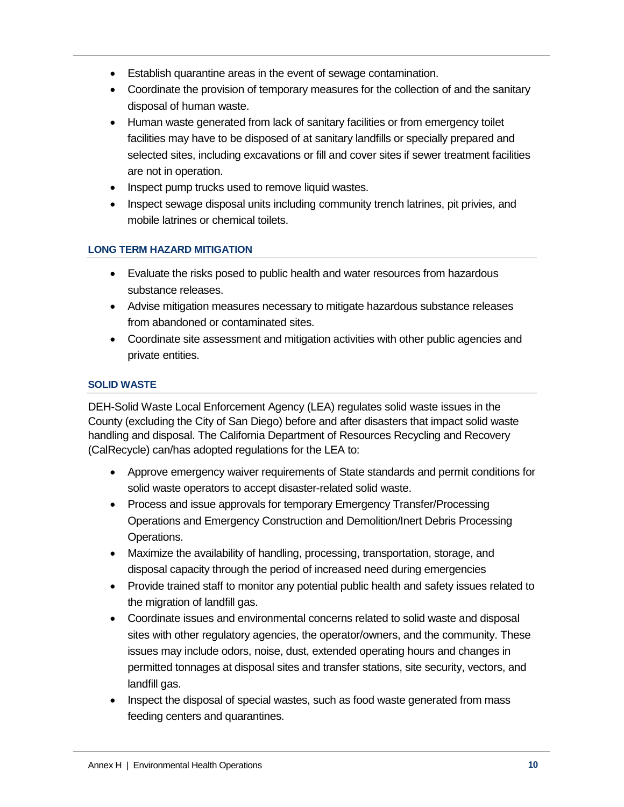- Establish quarantine areas in the event of sewage contamination.
- Coordinate the provision of temporary measures for the collection of and the sanitary disposal of human waste.
- Human waste generated from lack of sanitary facilities or from emergency toilet facilities may have to be disposed of at sanitary landfills or specially prepared and selected sites, including excavations or fill and cover sites if sewer treatment facilities are not in operation.
- Inspect pump trucks used to remove liquid wastes.
- Inspect sewage disposal units including community trench latrines, pit privies, and mobile latrines or chemical toilets.

## **LONG TERM HAZARD MITIGATION**

- Evaluate the risks posed to public health and water resources from hazardous substance releases.
- Advise mitigation measures necessary to mitigate hazardous substance releases from abandoned or contaminated sites.
- Coordinate site assessment and mitigation activities with other public agencies and private entities.

## **SOLID WASTE**

DEH-Solid Waste Local Enforcement Agency (LEA) regulates solid waste issues in the County (excluding the City of San Diego) before and after disasters that impact solid waste handling and disposal. The California Department of Resources Recycling and Recovery (CalRecycle) can/has adopted regulations for the LEA to:

- Approve emergency waiver requirements of State standards and permit conditions for solid waste operators to accept disaster-related solid waste.
- Process and issue approvals for temporary Emergency Transfer/Processing Operations and Emergency Construction and Demolition/Inert Debris Processing Operations.
- Maximize the availability of handling, processing, transportation, storage, and disposal capacity through the period of increased need during emergencies
- Provide trained staff to monitor any potential public health and safety issues related to the migration of landfill gas.
- Coordinate issues and environmental concerns related to solid waste and disposal sites with other regulatory agencies, the operator/owners, and the community. These issues may include odors, noise, dust, extended operating hours and changes in permitted tonnages at disposal sites and transfer stations, site security, vectors, and landfill gas.
- Inspect the disposal of special wastes, such as food waste generated from mass feeding centers and quarantines.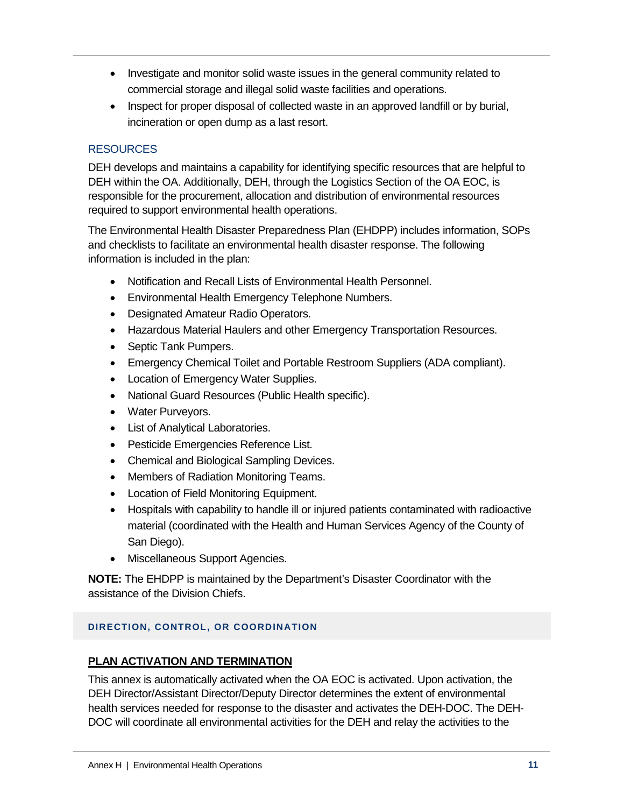- Investigate and monitor solid waste issues in the general community related to commercial storage and illegal solid waste facilities and operations.
- Inspect for proper disposal of collected waste in an approved landfill or by burial, incineration or open dump as a last resort.

# **RESOURCES**

DEH develops and maintains a capability for identifying specific resources that are helpful to DEH within the OA. Additionally, DEH, through the Logistics Section of the OA EOC, is responsible for the procurement, allocation and distribution of environmental resources required to support environmental health operations.

The Environmental Health Disaster Preparedness Plan (EHDPP) includes information, SOPs and checklists to facilitate an environmental health disaster response. The following information is included in the plan:

- Notification and Recall Lists of Environmental Health Personnel.
- Environmental Health Emergency Telephone Numbers.
- Designated Amateur Radio Operators.
- Hazardous Material Haulers and other Emergency Transportation Resources.
- Septic Tank Pumpers.
- Emergency Chemical Toilet and Portable Restroom Suppliers (ADA compliant).
- Location of Emergency Water Supplies.
- National Guard Resources (Public Health specific).
- Water Purveyors.
- List of Analytical Laboratories.
- Pesticide Emergencies Reference List.
- Chemical and Biological Sampling Devices.
- Members of Radiation Monitoring Teams.
- Location of Field Monitoring Equipment.
- Hospitals with capability to handle ill or injured patients contaminated with radioactive material (coordinated with the Health and Human Services Agency of the County of San Diego).
- Miscellaneous Support Agencies.

**NOTE:** The EHDPP is maintained by the Department's Disaster Coordinator with the assistance of the Division Chiefs.

# **DIRECTION, CONTROL, OR COORDINATION**

# **PLAN ACTIVATION AND TERMINATION**

This annex is automatically activated when the OA EOC is activated. Upon activation, the DEH Director/Assistant Director/Deputy Director determines the extent of environmental health services needed for response to the disaster and activates the DEH-DOC. The DEH-DOC will coordinate all environmental activities for the DEH and relay the activities to the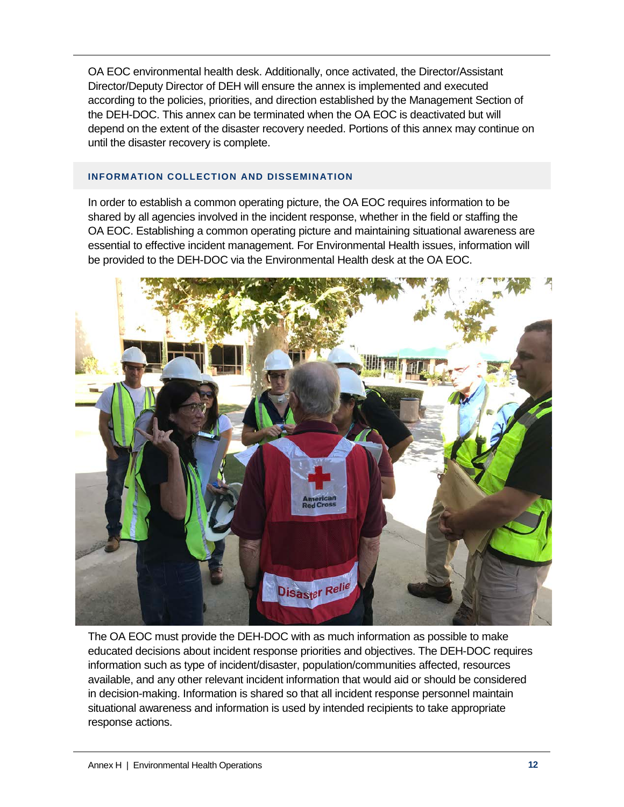OA EOC environmental health desk. Additionally, once activated, the Director/Assistant Director/Deputy Director of DEH will ensure the annex is implemented and executed according to the policies, priorities, and direction established by the Management Section of the DEH-DOC. This annex can be terminated when the OA EOC is deactivated but will depend on the extent of the disaster recovery needed. Portions of this annex may continue on until the disaster recovery is complete.

## **INFORMATION COLLECTION AND DISSEMINATION**

In order to establish a common operating picture, the OA EOC requires information to be shared by all agencies involved in the incident response, whether in the field or staffing the OA EOC. Establishing a common operating picture and maintaining situational awareness are essential to effective incident management. For Environmental Health issues, information will be provided to the DEH-DOC via the Environmental Health desk at the OA EOC.



The OA EOC must provide the DEH-DOC with as much information as possible to make educated decisions about incident response priorities and objectives. The DEH-DOC requires information such as type of incident/disaster, population/communities affected, resources available, and any other relevant incident information that would aid or should be considered in decision-making. Information is shared so that all incident response personnel maintain situational awareness and information is used by intended recipients to take appropriate response actions.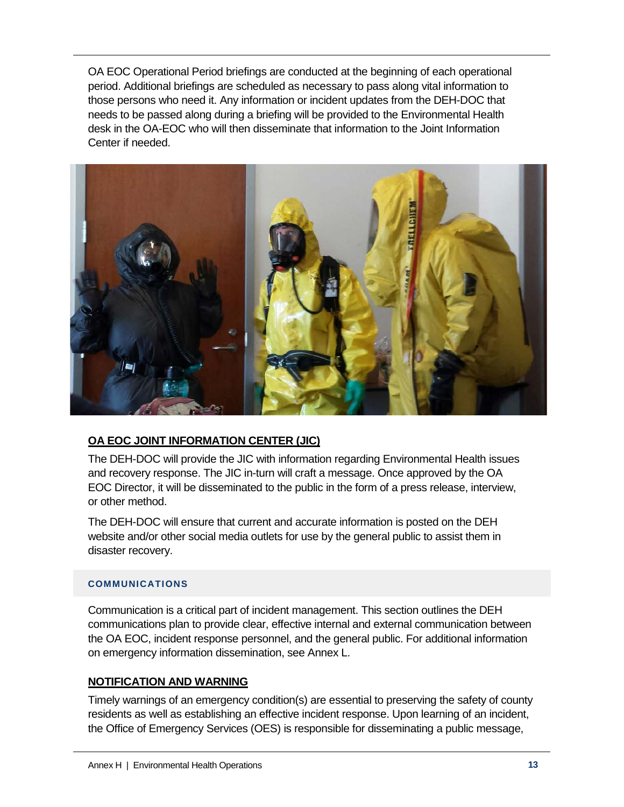OA EOC Operational Period briefings are conducted at the beginning of each operational period. Additional briefings are scheduled as necessary to pass along vital information to those persons who need it. Any information or incident updates from the DEH-DOC that needs to be passed along during a briefing will be provided to the Environmental Health desk in the OA-EOC who will then disseminate that information to the Joint Information Center if needed.



# **OA EOC JOINT INFORMATION CENTER (JIC)**

The DEH-DOC will provide the JIC with information regarding Environmental Health issues and recovery response. The JIC in-turn will craft a message. Once approved by the OA EOC Director, it will be disseminated to the public in the form of a press release, interview, or other method.

The DEH-DOC will ensure that current and accurate information is posted on the DEH website and/or other social media outlets for use by the general public to assist them in disaster recovery.

## **COMMUNICATIONS**

Communication is a critical part of incident management. This section outlines the DEH communications plan to provide clear, effective internal and external communication between the OA EOC, incident response personnel, and the general public. For additional information on emergency information dissemination, see Annex L.

## **NOTIFICATION AND WARNING**

Timely warnings of an emergency condition(s) are essential to preserving the safety of county residents as well as establishing an effective incident response. Upon learning of an incident, the Office of Emergency Services (OES) is responsible for disseminating a public message,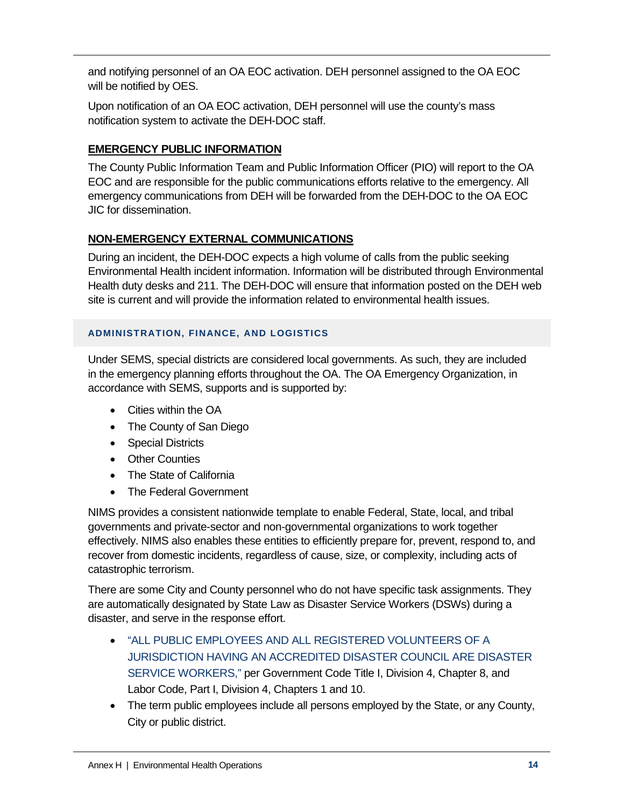and notifying personnel of an OA EOC activation. DEH personnel assigned to the OA EOC will be notified by OES.

Upon notification of an OA EOC activation, DEH personnel will use the county's mass notification system to activate the DEH-DOC staff.

# **EMERGENCY PUBLIC INFORMATION**

The County Public Information Team and Public Information Officer (PIO) will report to the OA EOC and are responsible for the public communications efforts relative to the emergency. All emergency communications from DEH will be forwarded from the DEH-DOC to the OA EOC JIC for dissemination.

# **NON-EMERGENCY EXTERNAL COMMUNICATIONS**

During an incident, the DEH-DOC expects a high volume of calls from the public seeking Environmental Health incident information. Information will be distributed through Environmental Health duty desks and 211. The DEH-DOC will ensure that information posted on the DEH web site is current and will provide the information related to environmental health issues.

# **ADMINISTRATION, FINANCE, AND LOGISTICS**

Under SEMS, special districts are considered local governments. As such, they are included in the emergency planning efforts throughout the OA. The OA Emergency Organization, in accordance with SEMS, supports and is supported by:

- Cities within the OA
- The County of San Diego
- Special Districts
- Other Counties
- The State of California
- The Federal Government

NIMS provides a consistent nationwide template to enable Federal, State, local, and tribal governments and private-sector and non-governmental organizations to work together effectively. NIMS also enables these entities to efficiently prepare for, prevent, respond to, and recover from domestic incidents, regardless of cause, size, or complexity, including acts of catastrophic terrorism.

There are some City and County personnel who do not have specific task assignments. They are automatically designated by State Law as Disaster Service Workers (DSWs) during a disaster, and serve in the response effort.

- "ALL PUBLIC EMPLOYEES AND ALL REGISTERED VOLUNTEERS OF A JURISDICTION HAVING AN ACCREDITED DISASTER COUNCIL ARE DISASTER SERVICE WORKERS," per Government Code Title I, Division 4, Chapter 8, and Labor Code, Part I, Division 4, Chapters 1 and 10.
- The term public employees include all persons employed by the State, or any County, City or public district.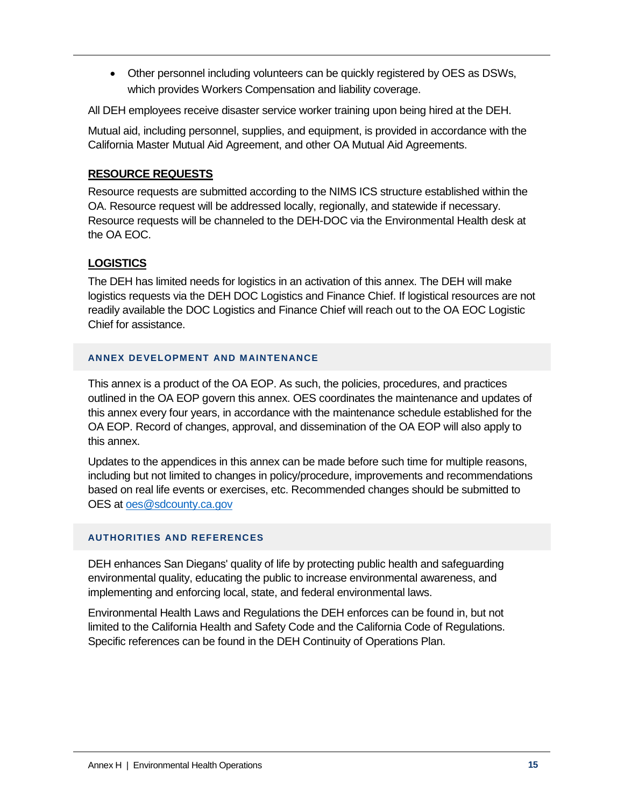• Other personnel including volunteers can be quickly registered by OES as DSWs, which provides Workers Compensation and liability coverage.

All DEH employees receive disaster service worker training upon being hired at the DEH.

Mutual aid, including personnel, supplies, and equipment, is provided in accordance with the California Master Mutual Aid Agreement, and other OA Mutual Aid Agreements.

# **RESOURCE REQUESTS**

Resource requests are submitted according to the NIMS ICS structure established within the OA. Resource request will be addressed locally, regionally, and statewide if necessary. Resource requests will be channeled to the DEH-DOC via the Environmental Health desk at the OA EOC.

# **LOGISTICS**

The DEH has limited needs for logistics in an activation of this annex. The DEH will make logistics requests via the DEH DOC Logistics and Finance Chief. If logistical resources are not readily available the DOC Logistics and Finance Chief will reach out to the OA EOC Logistic Chief for assistance.

## **ANNEX DEVELOPMENT AND MAINTENANCE**

This annex is a product of the OA EOP. As such, the policies, procedures, and practices outlined in the OA EOP govern this annex. OES coordinates the maintenance and updates of this annex every four years, in accordance with the maintenance schedule established for the OA EOP. Record of changes, approval, and dissemination of the OA EOP will also apply to this annex.

Updates to the appendices in this annex can be made before such time for multiple reasons, including but not limited to changes in policy/procedure, improvements and recommendations based on real life events or exercises, etc. Recommended changes should be submitted to OES at [oes@sdcounty.ca.gov](mailto:oes@sdcounty.ca.gov)

# **AUTHORITIES AND REFERENCES**

DEH enhances San Diegans' quality of life by protecting public health and safeguarding environmental quality, educating the public to increase environmental awareness, and implementing and enforcing local, state, and federal environmental laws.

Environmental Health Laws and Regulations the DEH enforces can be found in, but not limited to the California Health and Safety Code and the California Code of Regulations. Specific references can be found in the DEH Continuity of Operations Plan.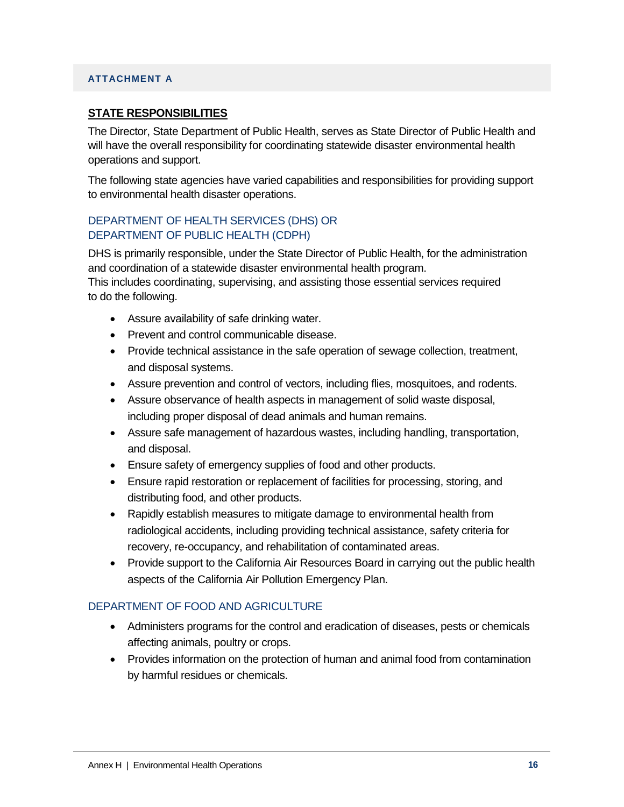### **ATTACHMENT A**

### **STATE RESPONSIBILITIES**

The Director, State Department of Public Health, serves as State Director of Public Health and will have the overall responsibility for coordinating statewide disaster environmental health operations and support.

The following state agencies have varied capabilities and responsibilities for providing support to environmental health disaster operations.

## DEPARTMENT OF HEALTH SERVICES (DHS) OR DEPARTMENT OF PUBLIC HEALTH (CDPH)

DHS is primarily responsible, under the State Director of Public Health, for the administration and coordination of a statewide disaster environmental health program.

This includes coordinating, supervising, and assisting those essential services required to do the following.

- Assure availability of safe drinking water.
- Prevent and control communicable disease.
- Provide technical assistance in the safe operation of sewage collection, treatment, and disposal systems.
- Assure prevention and control of vectors, including flies, mosquitoes, and rodents.
- Assure observance of health aspects in management of solid waste disposal, including proper disposal of dead animals and human remains.
- Assure safe management of hazardous wastes, including handling, transportation, and disposal.
- Ensure safety of emergency supplies of food and other products.
- Ensure rapid restoration or replacement of facilities for processing, storing, and distributing food, and other products.
- Rapidly establish measures to mitigate damage to environmental health from radiological accidents, including providing technical assistance, safety criteria for recovery, re-occupancy, and rehabilitation of contaminated areas.
- Provide support to the California Air Resources Board in carrying out the public health aspects of the California Air Pollution Emergency Plan.

## DEPARTMENT OF FOOD AND AGRICULTURE

- Administers programs for the control and eradication of diseases, pests or chemicals affecting animals, poultry or crops.
- Provides information on the protection of human and animal food from contamination by harmful residues or chemicals.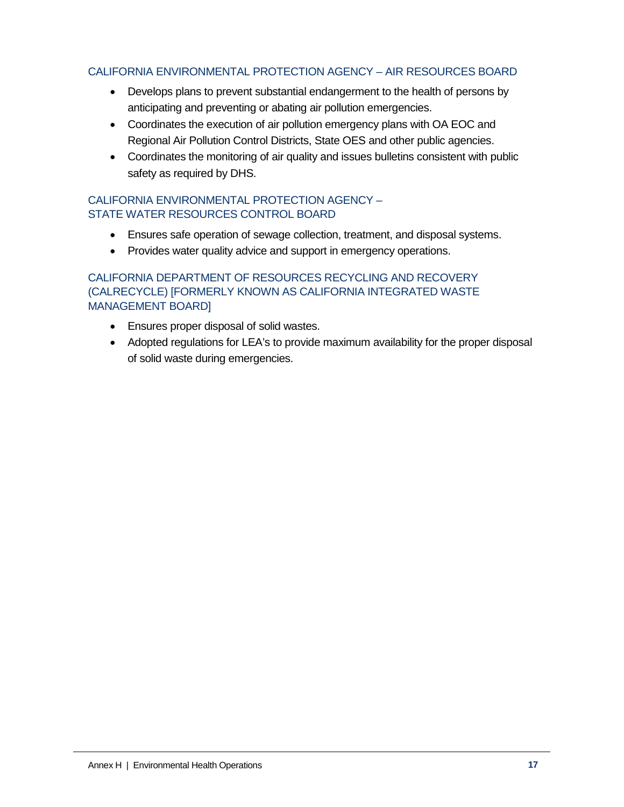## CALIFORNIA ENVIRONMENTAL PROTECTION AGENCY – AIR RESOURCES BOARD

- Develops plans to prevent substantial endangerment to the health of persons by anticipating and preventing or abating air pollution emergencies.
- Coordinates the execution of air pollution emergency plans with OA EOC and Regional Air Pollution Control Districts, State OES and other public agencies.
- Coordinates the monitoring of air quality and issues bulletins consistent with public safety as required by DHS.

## CALIFORNIA ENVIRONMENTAL PROTECTION AGENCY – STATE WATER RESOURCES CONTROL BOARD

- Ensures safe operation of sewage collection, treatment, and disposal systems.
- Provides water quality advice and support in emergency operations.

# CALIFORNIA DEPARTMENT OF RESOURCES RECYCLING AND RECOVERY (CALRECYCLE) [FORMERLY KNOWN AS CALIFORNIA INTEGRATED WASTE MANAGEMENT BOARD]

- Ensures proper disposal of solid wastes.
- Adopted regulations for LEA's to provide maximum availability for the proper disposal of solid waste during emergencies.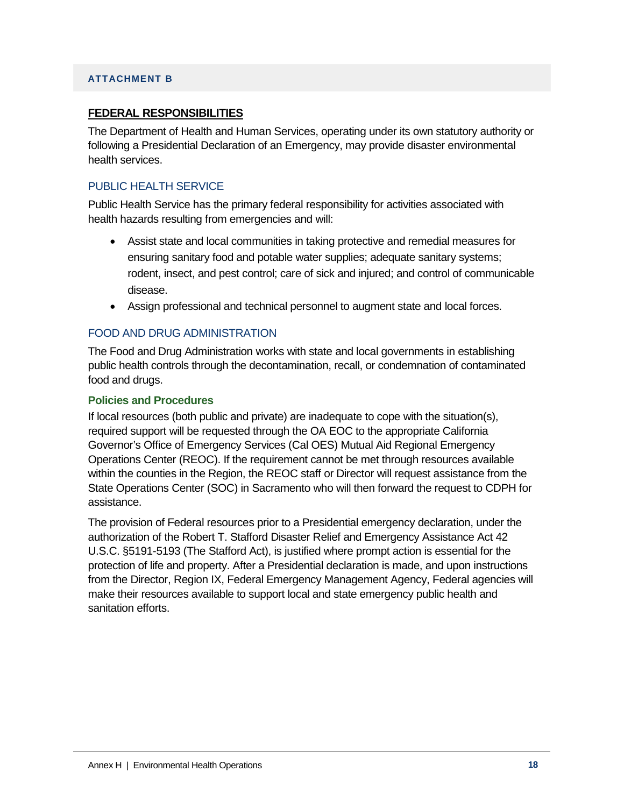### **ATTACHMENT B**

### **FEDERAL RESPONSIBILITIES**

The Department of Health and Human Services, operating under its own statutory authority or following a Presidential Declaration of an Emergency, may provide disaster environmental health services.

## PUBLIC HEALTH SERVICE

Public Health Service has the primary federal responsibility for activities associated with health hazards resulting from emergencies and will:

- Assist state and local communities in taking protective and remedial measures for ensuring sanitary food and potable water supplies; adequate sanitary systems; rodent, insect, and pest control; care of sick and injured; and control of communicable disease.
- Assign professional and technical personnel to augment state and local forces.

## FOOD AND DRUG ADMINISTRATION

The Food and Drug Administration works with state and local governments in establishing public health controls through the decontamination, recall, or condemnation of contaminated food and drugs.

#### **Policies and Procedures**

If local resources (both public and private) are inadequate to cope with the situation(s), required support will be requested through the OA EOC to the appropriate California Governor's Office of Emergency Services (Cal OES) Mutual Aid Regional Emergency Operations Center (REOC). If the requirement cannot be met through resources available within the counties in the Region, the REOC staff or Director will request assistance from the State Operations Center (SOC) in Sacramento who will then forward the request to CDPH for assistance.

The provision of Federal resources prior to a Presidential emergency declaration, under the authorization of the Robert T. Stafford Disaster Relief and Emergency Assistance Act 42 U.S.C. §5191-5193 (The Stafford Act), is justified where prompt action is essential for the protection of life and property. After a Presidential declaration is made, and upon instructions from the Director, Region IX, Federal Emergency Management Agency, Federal agencies will make their resources available to support local and state emergency public health and sanitation efforts.